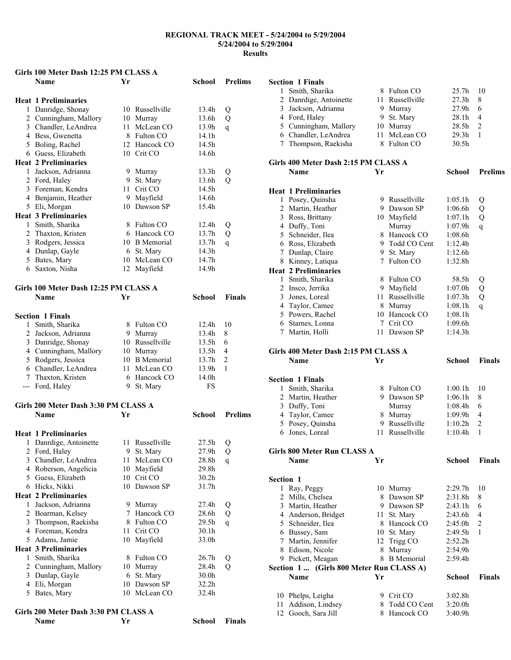#### **Girls 100 Meter Dash 12:25 PM CLASS A**

|              | <b>Name</b>                           | Yr |                 | <b>School</b>     | <b>Prelims</b> |
|--------------|---------------------------------------|----|-----------------|-------------------|----------------|
|              |                                       |    |                 |                   |                |
|              | <b>Heat 1 Preliminaries</b>           |    |                 |                   |                |
|              | 1 Danridge, Shonay                    |    | 10 Russellville | 13.4h             | Q              |
|              | 2 Cunningham, Mallory                 |    | 10 Murray       | 13.6h             | Q              |
|              | 3 Chandler, LeAndrea                  | 11 | McLean CO       | 13.9h             | q              |
|              | 4 Bess, Gwenetta                      |    | 8 Fulton CO     | 14.1h             |                |
|              | 5 Boling, Rachel                      |    | 12 Hancock CO   | 14.5h             |                |
|              | 6 Guess, Elizabeth                    |    | 10 Crit CO      | 14.6h             |                |
|              | <b>Heat 2 Preliminaries</b>           |    |                 |                   |                |
|              | 1 Jackson, Adrianna                   |    | 9 Murray        | 13.3 <sub>h</sub> | Q              |
|              | 2 Ford, Haley                         | 9. | St. Mary        | 13.6h             | Q              |
|              | 3 Foreman, Kendra                     | 11 | Crit CO         | 14.5h             |                |
|              | 4 Benjamin, Heather                   |    | 9 Mayfield      | 14.6h             |                |
|              | 5 Eli, Morgan                         |    | 10 Dawson SP    | 15.4h             |                |
|              | <b>Heat 3 Preliminaries</b>           |    |                 |                   |                |
|              | 1 Smith, Sharika                      | 8. | Fulton CO       | 12.4h             | Q              |
|              | 2 Thaxton, Kristen                    |    | 6 Hancock CO    | 13.7h             | Q              |
|              | 3 Rodgers, Jessica                    |    | 10 B Memorial   | 13.7h             | q              |
|              | 4 Dunlap, Gayle                       |    | 6 St. Mary      | 14.3h             |                |
|              | 5 Bates, Mary                         |    | 10 McLean CO    | 14.7h             |                |
|              | 6 Saxton, Nisha                       |    | 12 Mayfield     | 14.9h             |                |
|              | Girls 100 Meter Dash 12:25 PM CLASS A |    |                 |                   |                |
|              | <b>Name</b>                           | Yr |                 | School            | <b>Finals</b>  |
|              |                                       |    |                 |                   |                |
|              | <b>Section 1 Finals</b>               |    |                 |                   |                |
| $\mathbf{1}$ | Smith, Sharika                        |    | 8 Fulton CO     | 12.4h             | 10             |
|              | 2 Jackson, Adrianna                   |    | 9 Murray        | 13.4h             | 8              |
|              | 3 Danridge, Shonay                    |    | 10 Russellville | 13.5h             | 6              |
|              | 4 Cunningham, Mallory                 |    | 10 Murray       | 13.5 <sub>h</sub> | 4              |
|              | 5 Rodgers, Jessica                    |    | 10 B Memorial   | 13.7h             | 2              |
|              | 6 Chandler, LeAndrea                  | 11 | McLean CO       | 13.9h             | 1              |
|              | 7 Thaxton, Kristen                    |    | 6 Hancock CO    | 14.0h             |                |
|              | --- Ford, Haley                       | 9. | St. Mary        | FS                |                |
|              | Girls 200 Meter Dash 3:30 PM CLASS A  |    |                 |                   |                |
|              | <b>Name</b>                           | Yr |                 | School            | <b>Prelims</b> |
|              |                                       |    |                 |                   |                |
|              | <b>Heat 1 Preliminaries</b>           |    |                 |                   |                |
|              | 1 Danrdige, Antoinette                |    | 11 Russellville | 27.5h             | Q              |
|              | 2 Ford, Haley                         |    | 9 St. Mary      | 27.9h             | Q              |
|              | 3 Chandler, LeAndrea                  |    | 11 McLean CO    | 28.8h             | q              |
|              | 4 Roberson, Angelicia                 | 10 | Mayfield        | 29.8h             |                |
|              | 5 Guess, Elizabeth                    |    | 10 Crit CO      | 30.2 <sub>h</sub> |                |
|              | 6 Hicks, Nikki                        | 10 | Dawson SP       | 31.7h             |                |
|              | <b>Heat 2 Preliminaries</b>           |    |                 |                   |                |
| 1            | Jackson, Adrianna                     |    | 9 Murray        | 27.4h             | Q              |
|              | 2 Boarman, Kelsey                     | 7  | Hancock CO      | 28.6h             | Q              |
|              | 3 Thompson, Raekisha                  |    | 8 Fulton CO     | 29.5 <sub>h</sub> | q              |
|              | 4 Foreman, Kendra                     | 11 | Crit CO         | 30.1h             |                |
|              | 5 Adams, Jamie                        | 10 | Mayfield        | 33.0h             |                |
|              | <b>Heat 3 Preliminaries</b>           |    |                 |                   |                |
| 1            | Smith, Sharika                        | 8  | Fulton CO       | 26.7 <sub>h</sub> | Q              |
|              | 2 Cunningham, Mallory                 |    | 10 Murray       | 28.4h             | Q              |
|              | 3 Dunlap, Gayle                       | 6  | St. Mary        | 30.0h             |                |
|              | 4 Eli, Morgan                         | 10 | Dawson SP       | 32.2 <sub>h</sub> |                |
|              | 5 Bates, Mary                         |    | 10 McLean CO    | 32.4h             |                |
|              | Girls 200 Meter Dash 3:30 PM CLASS A  |    |                 |                   |                |
|              | Name                                  | Yr |                 | <b>School</b>     | <b>Finals</b>  |

|                                      | <b>Section 1 Finals</b>                  |    |                              |                    |                |  |  |
|--------------------------------------|------------------------------------------|----|------------------------------|--------------------|----------------|--|--|
| 1                                    | Smith, Sharika                           |    | 8 Fulton CO                  | 25.7h              | 10             |  |  |
|                                      | 2 Danrdige, Antoinette                   |    | 11 Russellville              | 27.3h              | 8              |  |  |
|                                      | 3 Jackson, Adrianna                      |    | 9 Murray                     | 27.9h              | 6              |  |  |
|                                      | 4 Ford, Haley                            |    | 9 St. Mary                   | 28.1h              | 4              |  |  |
|                                      | 5 Cunningham, Mallory                    |    | 10 Murray                    | 28.5 <sub>h</sub>  | 2              |  |  |
|                                      | 6 Chandler, LeAndrea                     | 11 | McLean CO                    | 29.3h              | 1              |  |  |
|                                      | 7 Thompson, Raekisha                     |    | 8 Fulton CO                  | 30.5h              |                |  |  |
|                                      |                                          |    |                              |                    |                |  |  |
|                                      | Girls 400 Meter Dash 2:15 PM CLASS A     |    |                              |                    |                |  |  |
|                                      | <b>Name</b>                              | Yr |                              | School             | <b>Prelims</b> |  |  |
|                                      |                                          |    |                              |                    |                |  |  |
|                                      | <b>Heat 1 Preliminaries</b>              |    |                              |                    |                |  |  |
|                                      | 1 Posey, Quinsha                         |    | 9 Russellville               | 1:05.1h            |                |  |  |
|                                      | 2 Martin, Heather                        |    | 9 Dawson SP                  | 1:06.6h            | Q              |  |  |
|                                      |                                          |    |                              |                    | Q              |  |  |
|                                      | 3 Ross, Brittany                         |    | 10 Mayfield                  | 1:07.1h            | Q              |  |  |
|                                      | 4 Duffy, Toni<br>5 Schneider, Ilea       |    | Murray<br>8 Hancock CO       | 1:07.9h            | q              |  |  |
|                                      |                                          |    |                              | 1:08.6h            |                |  |  |
|                                      | 6 Ross, Elizabeth                        |    | 9 Todd CO Cent               | 1:12.4h            |                |  |  |
|                                      | 7 Dunlap, Claire                         |    | 9 St. Mary                   | 1:12.6h            |                |  |  |
|                                      | 8 Kinney, Latiqua                        |    | 7 Fulton CO                  | 1:32.8h            |                |  |  |
|                                      | <b>Heat 2 Preliminaries</b>              |    |                              |                    |                |  |  |
|                                      | 1 Smith, Sharika                         |    | 8 Fulton CO                  | 58.5h              | Q              |  |  |
|                                      | 2 Insco, Jerrika                         |    | 9 Mayfield                   | 1:07.0h            | Q              |  |  |
|                                      | 3 Jones, Loreal                          |    | 11 Russellville              | 1:07.3h            | Q              |  |  |
|                                      | 4 Taylor, Camee                          |    | 8 Murray                     | 1:08.1h            | q              |  |  |
|                                      | 5 Powers, Rachel                         |    | 10 Hancock CO                | 1:08.1h            |                |  |  |
|                                      | 6 Starnes, Lonna                         |    | 7 Crit CO                    | 1:09.6h            |                |  |  |
|                                      | 7 Martin, Holli                          |    | 11 Dawson SP                 | 1:14.3h            |                |  |  |
|                                      |                                          |    |                              |                    |                |  |  |
| Girls 400 Meter Dash 2:15 PM CLASS A |                                          |    |                              |                    |                |  |  |
|                                      |                                          |    |                              |                    |                |  |  |
|                                      | Name                                     | Yr |                              | <b>School</b>      | <b>Finals</b>  |  |  |
|                                      |                                          |    |                              |                    |                |  |  |
|                                      |                                          |    |                              |                    |                |  |  |
|                                      | <b>Section 1 Finals</b>                  |    |                              |                    |                |  |  |
| 1                                    | Smith, Sharika                           |    | 8 Fulton CO                  | 1:00.1h            | 10             |  |  |
|                                      | 2 Martin, Heather                        |    | 9 Dawson SP                  | 1:06.1h            | 8              |  |  |
|                                      | 3 Duffy, Toni                            |    | Murray                       | 1:08.4h            | 6              |  |  |
|                                      | 4 Taylor, Camee                          |    | 8 Murray                     | 1:09.9h            | 4              |  |  |
|                                      | 5 Posey, Quinsha                         |    | 9 Russellville               | 1:10.2h            | 2              |  |  |
|                                      | 6 Jones, Loreal                          |    | 11 Russellville              | 1:10.4h            | 1              |  |  |
|                                      |                                          |    |                              |                    |                |  |  |
|                                      | Girls 800 Meter Run CLASS A              |    |                              |                    |                |  |  |
|                                      | Name                                     | Yr |                              | <b>School</b>      | <b>Finals</b>  |  |  |
|                                      |                                          |    |                              |                    |                |  |  |
| Section 1                            |                                          |    |                              |                    |                |  |  |
| 1                                    | Ray, Peggy                               |    | 10 Murray                    | 2:29.7h            | 10             |  |  |
|                                      | 2 Mills, Chelsea                         |    | 8 Dawson SP                  | 2:31.8h            | 8              |  |  |
|                                      | 3 Martin, Heather                        |    | 9 Dawson SP                  | 2:43.1h            | 6              |  |  |
|                                      | 4 Anderson, Bridget                      |    | 11 St. Mary                  | 2:43.6h            | 4              |  |  |
|                                      | 5 Schneider, Ilea                        |    | 8 Hancock CO                 | 2:45.0h            | 2              |  |  |
|                                      | 6 Bussey, Sam                            | 10 | St. Mary                     | 2:49.5h            | 1              |  |  |
|                                      | 7 Martin, Jennifer                       | 12 | Trigg CO                     | 2:52.2h            |                |  |  |
|                                      | 8 Edison, Nicole                         | 8  | Murray                       | 2:54.9h            |                |  |  |
|                                      | 9 Pickett, Meagan                        |    | 8 B Memorial                 | 2:59.4h            |                |  |  |
|                                      | Section 1  (Girls 800 Meter Run CLASS A) |    |                              |                    |                |  |  |
|                                      | <b>Name</b>                              | Yr |                              | <b>School</b>      | <b>Finals</b>  |  |  |
|                                      |                                          |    |                              |                    |                |  |  |
| 10                                   | Phelps, Leigha                           |    | 9 Crit CO                    | 3:02.8h            |                |  |  |
| 11<br>12                             | Addison, Lindsey<br>Gooch, Sara Jill     | 8  | Todd CO Cent<br>8 Hancock CO | 3:20.0h<br>3:40.9h |                |  |  |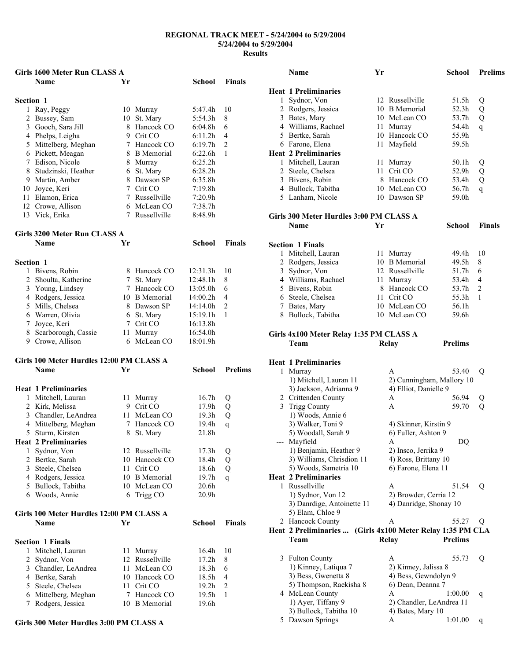|                  | Girls 1600 Meter Run CLASS A              |        |                 |                     |                |
|------------------|-------------------------------------------|--------|-----------------|---------------------|----------------|
|                  | <b>Name</b>                               | Yr     |                 | School              | <b>Finals</b>  |
|                  |                                           |        |                 |                     |                |
| <b>Section 1</b> |                                           |        |                 |                     |                |
|                  | 1 Ray, Peggy                              |        | 10 Murray       | 5:47.4h             | 10             |
|                  | 2 Bussey, Sam                             |        | 10 St. Mary     | 5:54.3h             | 8              |
|                  | 3 Gooch, Sara Jill                        |        | 8 Hancock CO    | 6:04.8 <sub>h</sub> | 6              |
|                  | 4 Phelps, Leigha                          |        | 9 Crit CO       | 6:11.2h             | 4              |
|                  | 5 Mittelberg, Meghan                      |        | 7 Hancock CO    | 6:19.7 <sub>h</sub> | 2              |
|                  | 6 Pickett, Meagan                         |        | 8 B Memorial    | 6:22.6h             | 1              |
|                  | 7 Edison, Nicole                          |        | 8 Murray        | 6:25.2h             |                |
|                  | 8 Studzinski, Heather                     |        | 6 St. Mary      | 6:28.2h             |                |
|                  | 9 Martin, Amber                           |        | 8 Dawson SP     | 6:35.8h             |                |
|                  | 10 Joyce, Keri                            |        | 7 Crit CO       | 7:19.8h             |                |
|                  | 11 Elamon, Erica                          |        | 7 Russellville  | 7:20.9h             |                |
|                  | 12 Crowe, Allison                         |        | 6 McLean CO     | 7:38.7h             |                |
|                  | 13 Vick, Erika                            | 7      | Russellville    | 8:48.9h             |                |
|                  |                                           |        |                 |                     |                |
|                  | Girls 3200 Meter Run CLASS A              |        |                 |                     |                |
|                  | Name                                      | Yr     |                 | School              | <b>Finals</b>  |
|                  |                                           |        |                 |                     |                |
|                  |                                           |        |                 |                     |                |
| <b>Section 1</b> |                                           |        |                 |                     |                |
|                  | 1 Bivens, Robin                           |        | 8 Hancock CO    | 12:31.3h            | 10             |
|                  | 2 Shoulta, Katherine                      |        | 7 St. Mary      | 12:48.1h            | 8              |
|                  | 3 Young, Lindsey                          |        | 7 Hancock CO    | 13:05.0h            | 6              |
|                  | 4 Rodgers, Jessica                        |        | 10 B Memorial   | 14:00.2h            | 4              |
|                  | 5 Mills, Chelsea                          |        | 8 Dawson SP     | 14:14.0h            | 2              |
|                  | 6 Warren, Olivia                          |        | 6 St. Mary      | 15:19.1h            | 1              |
|                  | 7 Joyce, Keri                             | $\tau$ | Crit CO         | 16:13.8h            |                |
|                  | 8 Scarborough, Cassie                     | 11     | Murray          | 16:54.0h            |                |
|                  | 9 Crowe, Allison                          | 6      | McLean CO       | 18:01.9h            |                |
|                  |                                           |        |                 |                     |                |
|                  | Girls 100 Meter Hurdles 12:00 PM CLASS A  |        |                 |                     |                |
|                  | <b>Name</b>                               | Yr     |                 | School              | <b>Prelims</b> |
|                  |                                           |        |                 |                     |                |
|                  | <b>Heat 1 Preliminaries</b>               |        |                 |                     |                |
|                  | 1 Mitchell, Lauran                        | 11     | Murray          | 16.7 <sub>h</sub>   | Q              |
|                  | 2 Kirk, Melissa                           |        | 9 Crit CO       | 17.9h               | Q              |
|                  | 3 Chandler, LeAndrea                      | 11     | McLean CO       | 19.3 <sub>h</sub>   | Q              |
|                  | 4 Mittelberg, Meghan                      | 7      | Hancock CO      | 19.4h               | q              |
| 5                | Sturm, Kirsten                            | 8      | St. Mary        | 21.8h               |                |
|                  | <b>Heat 2 Preliminaries</b>               |        |                 |                     |                |
| 1                | Sydnor, Von                               |        | 12 Russellville | 17.3 <sub>h</sub>   | Q              |
|                  | 2 Bertke, Sarah                           |        | 10 Hancock CO   | 18.4h               | Q              |
| 3                | Steele, Chelsea                           | 11     | Crit CO         | 18.6h               | Q              |
|                  | 4 Rodgers, Jessica                        |        | 10 B Memorial   | 19.7 <sub>h</sub>   | q              |
|                  | 5 Bullock, Tabitha                        |        | 10 McLean CO    | 20.6h               |                |
|                  | 6 Woods, Annie                            | 6      | Trigg CO        | 20.9 <sub>h</sub>   |                |
|                  |                                           |        |                 |                     |                |
|                  | Girls 100 Meter Hurdles 12:00 PM CLASS A  |        |                 |                     |                |
|                  | Name                                      | Yr     |                 | <b>School</b>       | <b>Finals</b>  |
|                  |                                           |        |                 |                     |                |
|                  | <b>Section 1 Finals</b>                   |        |                 |                     |                |
| 1                | Mitchell, Lauran                          | 11     | Murray          | 16.4h               | 10             |
|                  | 2 Sydnor, Von                             | 12     | Russellville    | 17.2h               | 8              |
|                  | 3 Chandler, LeAndrea                      | 11     | McLean CO       | 18.3h               | 6              |
|                  |                                           |        | Hancock CO      | $18.5h$             | 4              |
|                  | 4 Bertke, Sarah                           | 10     |                 |                     |                |
|                  |                                           |        | 11 Crit CO      | 19.2 <sub>h</sub>   | 2              |
|                  | 5 Steele, Chelsea<br>6 Mittelberg, Meghan | 7      | Hancock CO      | 19.5 <sub>h</sub>   | 1              |

#### **Girls 300 Meter Hurdles 3:00 PM CLASS A**

| Name                                            | Yr |                                      | <b>School</b>  | <b>Prelims</b> |
|-------------------------------------------------|----|--------------------------------------|----------------|----------------|
| <b>Heat 1 Preliminaries</b>                     |    |                                      |                |                |
| 1 Sydnor, Von                                   |    | 12 Russellville                      | 51.5h          | Q              |
| 2 Rodgers, Jessica                              |    | 10 B Memorial                        | 52.3h          | Q              |
| 3 Bates, Mary                                   |    | 10 McLean CO                         | 53.7h          | Q              |
| 4 Williams, Rachael                             |    | 11 Murray                            | 54.4h          | q              |
| 5 Bertke, Sarah                                 |    | 10 Hancock CO                        | 55.9h          |                |
| 6 Farone, Elena                                 | 11 | Mayfield                             | 59.5h          |                |
| <b>Heat 2 Preliminaries</b>                     |    |                                      |                |                |
| 1 Mitchell, Lauran                              | 11 | Murray                               | 50.1h          | Q              |
| 2 Steele, Chelsea                               | 11 | Crit CO                              | 52.9h          | Q              |
| 3 Bivens, Robin                                 |    | 8 Hancock CO                         | 53.4h          | Q              |
| 4 Bullock, Tabitha                              |    | 10 McLean CO                         | 56.7h          | q              |
| 5 Lanham, Nicole                                |    | 10 Dawson SP                         | 59.0h          |                |
|                                                 |    |                                      |                |                |
| Girls 300 Meter Hurdles 3:00 PM CLASS A         |    |                                      |                |                |
| Name                                            | Yr |                                      | <b>School</b>  | <b>Finals</b>  |
|                                                 |    |                                      |                |                |
| <b>Section 1 Finals</b>                         |    |                                      |                |                |
| 1 Mitchell, Lauran                              |    | 11 Murray                            | 49.4h          | 10             |
| 2 Rodgers, Jessica                              |    | 10 B Memorial                        | 49.5h          | 8              |
| 3 Sydnor, Von                                   |    | 12 Russellville                      | 51.7h          | 6              |
| 4 Williams, Rachael                             | 11 | Murray                               | 53.4h          | 4              |
| 5 Bivens, Robin                                 |    | 8 Hancock CO                         | 53.7h          | 2              |
| 6 Steele, Chelsea                               |    | 11 Crit CO                           | 55.3h          | 1              |
| 7 Bates, Mary                                   |    | 10 McLean CO                         | 56.1h          |                |
| 8 Bullock, Tabitha                              |    | 10 McLean CO                         | 59.6h          |                |
| Girls 4x100 Meter Relay 1:35 PM CLASS A<br>Team |    | Relay                                | <b>Prelims</b> |                |
| <b>Heat 1 Preliminaries</b>                     |    |                                      |                |                |
| 1 Murray                                        |    | A                                    | 53.40          | Q              |
| 1) Mitchell, Lauran 11                          |    | 2) Cunningham, Mallory 10            |                |                |
| 3) Jackson, Adrianna 9                          |    | 4) Elliot, Danielle 9                |                |                |
| 2 Crittenden County                             |    | A                                    | 56.94          | Q              |
| 3 Trigg County                                  |    | A                                    | 59.70          | Q              |
| 1) Woods, Annie 6                               |    |                                      |                |                |
| 3) Walker, Toni 9                               |    | 4) Skinner, Kirstin 9                |                |                |
| 5) Woodall, Sarah 9                             |    | 6) Fuller, Ashton 9                  |                |                |
| --- Mayfield                                    |    | A                                    | DQ             |                |
| 1) Benjamin, Heather 9                          |    | 2) Insco, Jerrika 9                  |                |                |
| 3) Williams, Chrisdion 11                       |    | 4) Ross, Brittany 10                 |                |                |
| 5) Woods, Sametria 10                           |    | 6) Farone, Elena 11                  |                |                |
| <b>Heat 2 Preliminaries</b>                     |    |                                      |                |                |
| 1 Russellville                                  |    | A                                    | 51.54          | Q              |
| 1) Sydnor, Von 12                               |    | 2) Browder, Cerria 12                |                |                |
| 3) Danrdige, Antoinette 11                      |    | 4) Danridge, Shonay 10               |                |                |
| 5) Elam, Chloe 9                                |    |                                      |                |                |
| 2 Hancock County                                |    | A                                    | 55.27          | Q              |
| Heat 2 Preliminaries                            |    | (Girls 4x100 Meter Relay 1:35 PM CLA |                |                |
| Team                                            |    | Relay                                | <b>Prelims</b> |                |
|                                                 |    |                                      |                |                |
| 3 Fulton County                                 |    | A                                    | 55.73          | Q              |
| 1) Kinney, Latiqua 7                            |    | 2) Kinney, Jalissa 8                 |                |                |
| 3) Bess, Gwenetta 8                             |    | 4) Bess, Gewndolyn 9                 |                |                |
| 5) Thompson, Raekisha 8                         |    | 6) Dean, Deanna 7                    |                |                |
| 4 McLean County                                 |    | А                                    | 1:00.00        | q              |
| 1) Ayer, Tiffany 9                              |    | 2) Chandler, LeAndrea 11             |                |                |
| 3) Bullock, Tabitha 10                          |    | 4) Bates, Mary 10                    |                |                |
| 5 Dawson Springs                                |    | А                                    | 1:01.00        | q              |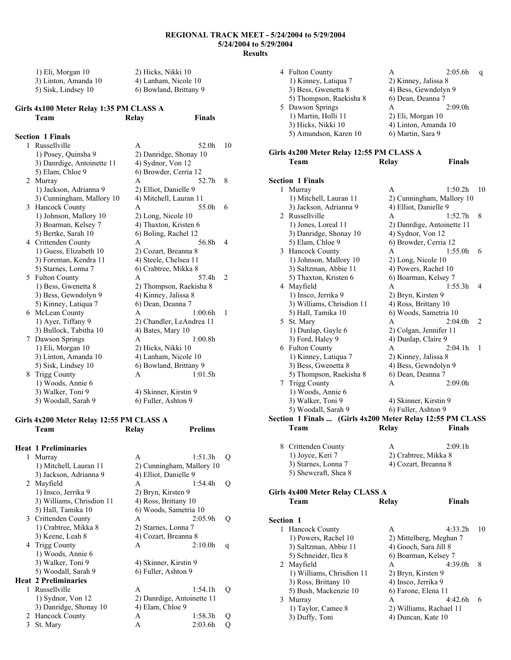| 1) Eli, Morgan 10    | 2) Hicks, Nikki 10     |
|----------------------|------------------------|
| 3) Linton, Amanda 10 | 4) Lanham, Nicole 10   |
| 5) Sisk, Lindsey 10  | 6) Bowland, Brittany 9 |

#### **Girls 4x100 Meter Relay 1:35 PM CLASS A Team Relay Finals**

|   | <b>Section 1 Finals</b>    |                          |                |
|---|----------------------------|--------------------------|----------------|
|   | 1 Russellville             | A<br>52.0h               | 10             |
|   | 1) Posey, Quinsha 9        | 2) Danridge, Shonay 10   |                |
|   | 3) Danrdige, Antoinette 11 | 4) Sydnor, Von 12        |                |
|   | 5) Elam, Chloe 9           | 6) Browder, Cerria 12    |                |
| 2 | Murray                     | 52.7h<br>A               | 8              |
|   | 1) Jackson, Adrianna 9     | 2) Elliot, Danielle 9    |                |
|   | 3) Cunningham, Mallory 10  | 4) Mitchell, Lauran 11   |                |
| 3 | Hancock County             | 55.0h<br>A               | 6              |
|   | 1) Johnson, Mallory 10     | 2) Long, Nicole 10       |                |
|   | 3) Boarman, Kelsey 7       | 4) Thaxton, Kristen 6    |                |
|   | 5) Bertke, Sarah 10        | 6) Boling, Rachel 12     |                |
|   | 4 Crittenden County        | 56.8h<br>A               | 4              |
|   | 1) Guess, Elizabeth 10     | 2) Cozart, Breanna 8     |                |
|   | 3) Foreman, Kendra 11      | 4) Steele, Chelsea 11    |                |
|   | 5) Starnes, Lonna 7        | 6) Crabtree, Mikka 8     |                |
| 5 | <b>Fulton County</b>       | 57.4h<br>A               | $\overline{2}$ |
|   | 1) Bess, Gwenetta 8        | 2) Thompson, Raekisha 8  |                |
|   | 3) Bess, Gewndolyn 9       | 4) Kinney, Jalissa 8     |                |
|   | 5) Kinney, Latiqua 7       | 6) Dean, Deanna 7        |                |
| 6 | McLean County              | $1.00$ 6h<br>A           | 1              |
|   | 1) Ayer, Tiffany 9         | 2) Chandler, LeAndrea 11 |                |
|   | 3) Bullock, Tabitha 10     | 4) Bates, Mary 10        |                |
| 7 | Dawson Springs             | 1:00.8h<br>A             |                |
|   | 1) Eli, Morgan 10          | 2) Hicks, Nikki 10       |                |
|   | 3) Linton, Amanda 10       | 4) Lanham, Nicole 10     |                |
|   | 5) Sisk, Lindsey 10        | 6) Bowland, Brittany 9   |                |
| 8 | <b>Trigg County</b>        | 1:01.5h<br>A             |                |
|   | 1) Woods, Annie 6          |                          |                |
|   | 3) Walker, Toni 9          | 4) Skinner, Kirstin 9    |                |
|   | 5) Woodall, Sarah 9        | 6) Fuller, Ashton 9      |                |

#### **Girls 4x200 Meter Relay 12:55 PM CLASS A Team Relay Prelims**

|   | <b>Heat 1 Preliminaries</b> |                            |         |   |
|---|-----------------------------|----------------------------|---------|---|
| 1 | Murray                      | A                          | 1:51.3h | Q |
|   | 1) Mitchell, Lauran 11      | 2) Cunningham, Mallory 10  |         |   |
|   | 3) Jackson, Adrianna 9      | 4) Elliot, Danielle 9      |         |   |
| 2 | Mayfield                    | A                          | 1:54.4h | Q |
|   | 1) Insco, Jerrika 9         | 2) Bryn, Kirsten 9         |         |   |
|   | 3) Williams, Chrisdion 11   | 4) Ross, Brittany 10       |         |   |
|   | 5) Hall, Tamika 10          | 6) Woods, Sametria 10      |         |   |
|   | 3 Crittenden County         | A                          | 2:05.9h | Q |
|   | 1) Crabtree, Mikka 8        | 2) Starnes, Lonna 7        |         |   |
|   | 3) Keene, Leah 8            | 4) Cozart, Breanna 8       |         |   |
|   | 4 Trigg County              | A                          | 2:10.0h | q |
|   | 1) Woods, Annie 6           |                            |         |   |
|   | 3) Walker, Toni 9           | 4) Skinner, Kirstin 9      |         |   |
|   | 5) Woodall, Sarah 9         | 6) Fuller, Ashton 9        |         |   |
|   | <b>Heat 2 Preliminaries</b> |                            |         |   |
| 1 | Russellville                | A                          | 1:54.1h | O |
|   | 1) Sydnor, Von 12           | 2) Danrdige, Antoinette 11 |         |   |
|   | 3) Danridge, Shonay 10      | 4) Elam, Chloe 9           |         |   |
| 2 | <b>Hancock County</b>       | A                          | 1:58.3h |   |
| 3 | St. Mary                    | A                          | 2:03.6h |   |
|   |                             |                            |         |   |

| 4 Fulton County         |                      | 2:05.6h | a |
|-------------------------|----------------------|---------|---|
| 1) Kinney, Latiqua 7    | 2) Kinney, Jalissa 8 |         |   |
| 3) Bess, Gwenetta 8     | 4) Bess, Gewndolyn 9 |         |   |
| 5) Thompson, Raekisha 8 | 6) Dean, Deanna 7    |         |   |
| 5 Dawson Springs        | A                    | 2:09.0h |   |
| 1) Martin, Holli 11     | 2) Eli, Morgan 10    |         |   |
| 3) Hicks, Nikki 10      | 4) Linton, Amanda 10 |         |   |
| 5) Amundson, Karen 10   | 6) Martin, Sara 9    |         |   |
|                         |                      |         |   |

#### **Girls 4x200 Meter Relay 12:55 PM CLASS A Team Relay Finals**

#### **Section 1 Finals**

|                  | 1 Murray                                      | Α<br>1:50.2h                                              | 10 |
|------------------|-----------------------------------------------|-----------------------------------------------------------|----|
|                  | 1) Mitchell, Lauran 11                        | 2) Cunningham, Mallory 10                                 |    |
|                  | 3) Jackson, Adrianna 9                        | 4) Elliot, Danielle 9                                     |    |
|                  | 2 Russellville                                | 1:52.7h<br>Α                                              | 8  |
|                  | 1) Jones, Loreal 11                           | 2) Danrdige, Antoinette 11                                |    |
|                  | 3) Danridge, Shonay 10                        | 4) Sydnor, Von 12                                         |    |
|                  | 5) Elam, Chloe 9                              | 6) Browder, Cerria 12                                     |    |
|                  | 3 Hancock County                              | 1:55.0h<br>A                                              | 6  |
|                  | 1) Johnson, Mallory 10                        | 2) Long, Nicole 10                                        |    |
|                  | 3) Saltzman, Abbie 11                         | 4) Powers, Rachel 10                                      |    |
|                  |                                               | 6) Boarman, Kelsey 7                                      |    |
|                  | 5) Thaxton, Kristen 6                         |                                                           | 4  |
|                  | 4 Mayfield                                    | A<br>1:55.3h                                              |    |
|                  | 1) Insco, Jerrika 9                           | 2) Bryn, Kirsten 9                                        |    |
|                  | 3) Williams, Chrisdion 11                     | 4) Ross, Brittany 10                                      |    |
|                  | 5) Hall, Tamika 10                            | 6) Woods, Sametria 10                                     |    |
|                  | 5 St. Mary                                    | 2:04.0 <sub>h</sub><br>А                                  | 2  |
|                  | 1) Dunlap, Gayle 6                            | 2) Colgan, Jennifer 11                                    |    |
|                  | 3) Ford, Haley 9                              | 4) Dunlap, Claire 9                                       |    |
|                  | 6 Fulton County                               | 2:04.1h<br>A                                              | 1  |
|                  | 1) Kinney, Latiqua 7                          | 2) Kinney, Jalissa 8                                      |    |
|                  | 3) Bess, Gwenetta 8                           | 4) Bess, Gewndolyn 9                                      |    |
|                  | 5) Thompson, Raekisha 8                       | 6) Dean, Deanna 7                                         |    |
|                  | 7 Trigg County                                | 2:09.0h<br>Α                                              |    |
|                  | 1) Woods, Annie 6                             |                                                           |    |
|                  |                                               |                                                           |    |
|                  | 3) Walker, Toni 9                             | 4) Skinner, Kirstin 9                                     |    |
|                  | 5) Woodall, Sarah 9                           | 6) Fuller, Ashton 9                                       |    |
|                  |                                               | Section 1 Finals  (Girls 4x200 Meter Relay 12:55 PM CLASS |    |
|                  | Team                                          | Relay<br>Finals                                           |    |
|                  |                                               |                                                           |    |
|                  |                                               | A                                                         |    |
|                  | 8 Crittenden County                           | 2:09.1h                                                   |    |
|                  | 1) Joyce, Keri 7                              | 2) Crabtree, Mikka 8                                      |    |
|                  | 3) Starnes, Lonna 7                           | 4) Cozart, Breanna 8                                      |    |
|                  | 5) Shewcraft, Shea 8                          |                                                           |    |
|                  |                                               |                                                           |    |
|                  | Girls 4x400 Meter Relay CLASS A               |                                                           |    |
|                  | Team                                          | <b>Finals</b><br>Relay                                    |    |
|                  |                                               |                                                           |    |
| <b>Section 1</b> |                                               |                                                           |    |
| 1                | Hancock County                                | 4:33.2h<br>A                                              | 10 |
|                  | 1) Powers, Rachel 10                          | 2) Mittelberg, Meghan 7                                   |    |
|                  | 3) Saltzman, Abbie 11                         | 4) Gooch, Sara Jill 8                                     |    |
|                  | 5) Schneider, Ilea 8                          | 6) Boarman, Kelsey 7                                      |    |
|                  | 2 Mayfield                                    | 4:39.0h<br>A                                              | 8  |
|                  | 1) Williams, Chrisdion 11                     | 2) Bryn, Kirsten 9                                        |    |
|                  | 3) Ross, Brittany 10<br>5) Bush, Mackenzie 10 | 4) Insco, Jerrika 9<br>6) Farone, Elena 11                |    |

3 Murray A 4:42.6h 6<br>1) Taylor, Camee 8 2) Williams, Rachael 11 1) Taylor, Camee 8 2) Williams, Rachael 11<br>3) Duffy, Toni 4) Duncan, Kate 10

4) Duncan, Kate 10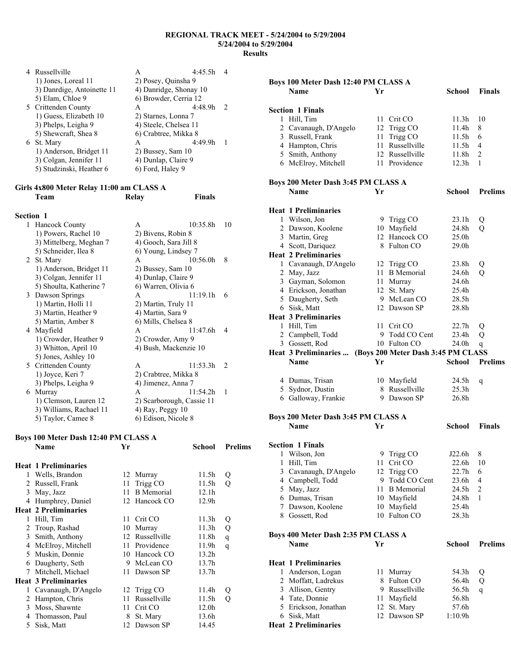| 4 Russellville             | A                      | $4.45$ 5h |               |
|----------------------------|------------------------|-----------|---------------|
| 1) Jones, Loreal 11        | 2) Posey, Quinsha 9    |           |               |
| 3) Danrdige, Antoinette 11 | 4) Danridge, Shonay 10 |           |               |
| 5) Elam, Chloe 9           | 6) Browder, Cerria 12  |           |               |
| 5 Crittenden County        | A                      | 4:48.9h   | $\mathcal{L}$ |
| 1) Guess, Elizabeth 10     | 2) Starnes, Lonna 7    |           |               |
| 3) Phelps, Leigha 9        | 4) Steele, Chelsea 11  |           |               |
| 5) Shewcraft, Shea 8       | 6) Crabtree, Mikka 8   |           |               |
| 6 St. Mary                 | A                      | 4.499h    |               |
| 1) Anderson, Bridget 11    | 2) Bussey, Sam 10      |           |               |
| 3) Colgan, Jennifer 11     | 4) Dunlap, Claire 9    |           |               |
| 5) Studzinski, Heather 6   | 6) Ford, Haley 9       |           |               |
|                            |                        |           |               |

#### **Girls 4x800 Meter Relay 11:00 am CLASS A Team Relay Finals**

### **Section 1**

| 1) Powers, Rachel 10<br>2) Bivens, Robin 8<br>3) Mittelberg, Meghan 7<br>4) Gooch, Sara Jill 8<br>5) Schneider, Ilea 8<br>6) Young, Lindsey 7<br>St. Mary<br>10:56.0h<br>8<br>A<br>2<br>1) Anderson, Bridget 11<br>2) Bussey, Sam 10<br>4) Dunlap, Claire 9<br>3) Colgan, Jennifer 11<br>5) Shoulta, Katherine 7<br>6) Warren, Olivia 6<br>Dawson Springs<br>11:19.1h<br>6<br>3<br>A<br>1) Martin, Holli 11<br>2) Martin, Truly 11<br>3) Martin, Heather 9<br>4) Martin, Sara 9<br>6) Mills, Chelsea 8<br>5) Martin, Amber 8<br>Mayfield<br>11:47.6h<br>A<br>4<br>4<br>1) Crowder, Heather 9<br>2) Crowder, Amy 9<br>3) Whitton, April 10<br>4) Bush, Mackenzie 10<br>5) Jones, Ashley 10<br>Crittenden County<br>11:53.3h<br>A<br>$\mathcal{L}$<br>5<br>1) Joyce, Keri 7<br>2) Crabtree, Mikka 8<br>3) Phelps, Leigha 9<br>4) Jimenez, Anna 7<br>Murray<br>A<br>11:54.2h<br>1<br>6 | 1 | Hancock County        | A                         | 10:35.8h | 10 |
|-------------------------------------------------------------------------------------------------------------------------------------------------------------------------------------------------------------------------------------------------------------------------------------------------------------------------------------------------------------------------------------------------------------------------------------------------------------------------------------------------------------------------------------------------------------------------------------------------------------------------------------------------------------------------------------------------------------------------------------------------------------------------------------------------------------------------------------------------------------------------------------|---|-----------------------|---------------------------|----------|----|
|                                                                                                                                                                                                                                                                                                                                                                                                                                                                                                                                                                                                                                                                                                                                                                                                                                                                                     |   |                       |                           |          |    |
|                                                                                                                                                                                                                                                                                                                                                                                                                                                                                                                                                                                                                                                                                                                                                                                                                                                                                     |   |                       |                           |          |    |
|                                                                                                                                                                                                                                                                                                                                                                                                                                                                                                                                                                                                                                                                                                                                                                                                                                                                                     |   |                       |                           |          |    |
|                                                                                                                                                                                                                                                                                                                                                                                                                                                                                                                                                                                                                                                                                                                                                                                                                                                                                     |   |                       |                           |          |    |
|                                                                                                                                                                                                                                                                                                                                                                                                                                                                                                                                                                                                                                                                                                                                                                                                                                                                                     |   |                       |                           |          |    |
|                                                                                                                                                                                                                                                                                                                                                                                                                                                                                                                                                                                                                                                                                                                                                                                                                                                                                     |   |                       |                           |          |    |
|                                                                                                                                                                                                                                                                                                                                                                                                                                                                                                                                                                                                                                                                                                                                                                                                                                                                                     |   |                       |                           |          |    |
|                                                                                                                                                                                                                                                                                                                                                                                                                                                                                                                                                                                                                                                                                                                                                                                                                                                                                     |   |                       |                           |          |    |
|                                                                                                                                                                                                                                                                                                                                                                                                                                                                                                                                                                                                                                                                                                                                                                                                                                                                                     |   |                       |                           |          |    |
|                                                                                                                                                                                                                                                                                                                                                                                                                                                                                                                                                                                                                                                                                                                                                                                                                                                                                     |   |                       |                           |          |    |
|                                                                                                                                                                                                                                                                                                                                                                                                                                                                                                                                                                                                                                                                                                                                                                                                                                                                                     |   |                       |                           |          |    |
|                                                                                                                                                                                                                                                                                                                                                                                                                                                                                                                                                                                                                                                                                                                                                                                                                                                                                     |   |                       |                           |          |    |
|                                                                                                                                                                                                                                                                                                                                                                                                                                                                                                                                                                                                                                                                                                                                                                                                                                                                                     |   |                       |                           |          |    |
|                                                                                                                                                                                                                                                                                                                                                                                                                                                                                                                                                                                                                                                                                                                                                                                                                                                                                     |   |                       |                           |          |    |
|                                                                                                                                                                                                                                                                                                                                                                                                                                                                                                                                                                                                                                                                                                                                                                                                                                                                                     |   |                       |                           |          |    |
|                                                                                                                                                                                                                                                                                                                                                                                                                                                                                                                                                                                                                                                                                                                                                                                                                                                                                     |   |                       |                           |          |    |
|                                                                                                                                                                                                                                                                                                                                                                                                                                                                                                                                                                                                                                                                                                                                                                                                                                                                                     |   |                       |                           |          |    |
|                                                                                                                                                                                                                                                                                                                                                                                                                                                                                                                                                                                                                                                                                                                                                                                                                                                                                     |   |                       |                           |          |    |
|                                                                                                                                                                                                                                                                                                                                                                                                                                                                                                                                                                                                                                                                                                                                                                                                                                                                                     |   |                       |                           |          |    |
|                                                                                                                                                                                                                                                                                                                                                                                                                                                                                                                                                                                                                                                                                                                                                                                                                                                                                     |   | 1) Clemson, Lauren 12 | 2) Scarborough, Cassie 11 |          |    |
| 3) Williams, Rachael 11<br>$(4)$ Ray, Peggy $10$                                                                                                                                                                                                                                                                                                                                                                                                                                                                                                                                                                                                                                                                                                                                                                                                                                    |   |                       |                           |          |    |
|                                                                                                                                                                                                                                                                                                                                                                                                                                                                                                                                                                                                                                                                                                                                                                                                                                                                                     |   | 5) Taylor, Camee 8    | 6) Edison, Nicole 8       |          |    |
|                                                                                                                                                                                                                                                                                                                                                                                                                                                                                                                                                                                                                                                                                                                                                                                                                                                                                     |   |                       |                           |          |    |

#### **Boys 100 Meter Dash 12:40 PM CLASS A**

|   | Name                        | Yr  |                   | School            | <b>Prelims</b> |
|---|-----------------------------|-----|-------------------|-------------------|----------------|
|   | <b>Heat 1 Preliminaries</b> |     |                   |                   |                |
| 1 | Wells, Brandon              |     | 12 Murray         | 11.5h             | Q              |
| 2 | Russell, Frank              | 11  | Trigg CO          | 11.5h             | Q              |
| 3 | May, Jazz                   | 11  | <b>B</b> Memorial | 12.1h             |                |
| 4 | Humphrey, Daniel            |     | 12 Hancock CO     | 12.9h             |                |
|   | <b>Heat 2 Preliminaries</b> |     |                   |                   |                |
| 1 | Hill, Tim                   | 11  | Crit CO           | 11.3h             | Q              |
| 2 | Troup, Rashad               | 10  | Murray            | 11.3h             | Q              |
| 3 | Smith, Anthony              |     | 12 Russellville   | 11.8h             | q              |
| 4 | McElroy, Mitchell           | 11  | Providence        | 11.9h             | q              |
| 5 | Muskin, Donnie              | 10  | Hancock CO        | 13.2h             |                |
| 6 | Daugherty, Seth             | 9   | McLean CO         | 13.7 <sub>h</sub> |                |
| 7 | Mitchell, Michael           | 11. | Dawson SP         | 13.7h             |                |
|   | <b>Heat 3 Preliminaries</b> |     |                   |                   |                |
| 1 | Cavanaugh, D'Angelo         |     | 12 Trigg CO       | 11.4h             | Q              |
| 2 | Hampton, Chris              | 11  | Russellville      | 11.5h             | Q              |
| 3 | Moss, Shawnte               | 11  | Crit CO           | 12.0h             |                |
| 4 | Thomasson, Paul             | 8   | St. Mary          | 13.6h             |                |
| 5 | Sisk, Matt                  |     | 12 Dawson SP      | 14.45             |                |

|              | Boys 100 Meter Dash 12:40 PM CLASS A                     |      |                   |                   |                |
|--------------|----------------------------------------------------------|------|-------------------|-------------------|----------------|
|              | <b>Name</b>                                              | Yr   |                   | School            | <b>Finals</b>  |
|              |                                                          |      |                   |                   |                |
|              | <b>Section 1 Finals</b>                                  |      |                   |                   |                |
|              | 1 Hill, Tim                                              | 11   | Crit CO           | 11.3h             | 10             |
|              | 2 Cavanaugh, D'Angelo                                    |      |                   | 11.4h             | 8              |
|              | 3 Russell, Frank                                         |      | 12 Trigg CO       |                   | 6              |
|              |                                                          | 11   | Trigg CO          | 11.5h             |                |
|              | 4 Hampton, Chris                                         | 11   | Russellville      | 11.5h             | $\overline{4}$ |
|              | 5 Smith, Anthony                                         |      | 12 Russellville   | 11.8h             | $\overline{c}$ |
|              | 6 McElroy, Mitchell                                      |      | 11 Providence     | 12.3h             | 1              |
|              |                                                          |      |                   |                   |                |
|              | Boys 200 Meter Dash 3:45 PM CLASS A                      |      |                   |                   |                |
|              | <b>Name</b>                                              | Yr   |                   | <b>School</b>     | <b>Prelims</b> |
|              |                                                          |      |                   |                   |                |
|              | <b>Heat 1 Preliminaries</b>                              |      |                   |                   |                |
|              | 1 Wilson, Jon                                            |      | 9 Trigg CO        | 23.1h             | Q              |
|              | 2 Dawson, Koolene                                        |      | 10 Mayfield       | 24.8h             | $\overline{O}$ |
|              | 3 Martin, Greg                                           |      | 12 Hancock CO     | 25.0 <sub>h</sub> |                |
|              | 4 Scott, Dariquez                                        |      | 8 Fulton CO       | 29.0 <sub>h</sub> |                |
|              | <b>Heat 2 Preliminaries</b>                              |      |                   |                   |                |
|              | 1 Cavanaugh, D'Angelo                                    |      | 12 Trigg CO       | 23.8h             | Q              |
|              | 2 May, Jazz                                              |      | 11 B Memorial     | 24.6h             | О              |
|              | 3 Gayman, Solomon                                        | 11 - | Murray            | 24.6h             |                |
|              | 4 Erickson, Jonathan                                     | 12   | St. Mary          | 25.4h             |                |
|              | 5 Daugherty, Seth                                        |      | 9 McLean CO       | 28.5h             |                |
|              | 6 Sisk, Matt                                             |      | 12 Dawson SP      | 28.8h             |                |
|              |                                                          |      |                   |                   |                |
|              | <b>Heat 3 Preliminaries</b>                              |      |                   |                   |                |
|              | 1 Hill, Tim                                              | 11   | Crit CO           | 22.7 <sub>h</sub> | Q              |
|              | 2 Campbell, Todd                                         |      | 9 Todd CO Cent    | 23.4h             | Q              |
|              | 3 Gossett, Rod                                           |      | 10 Fulton CO      | 24.0h             | q              |
|              | Heat 3 Preliminaries  (Boys 200 Meter Dash 3:45 PM CLASS |      |                   |                   |                |
|              |                                                          |      |                   |                   |                |
|              | <b>Name</b>                                              | Yr   |                   | <b>School</b>     | <b>Prelims</b> |
|              |                                                          |      |                   |                   |                |
|              | 4 Dumas, Trisan                                          |      | 10 Mayfield       | 24.5h             | q              |
|              | 5 Sydnor, Dustin                                         |      | 8 Russellville    | 25.3h             |                |
|              | 6 Galloway, Frankie                                      |      | 9 Dawson SP       | 26.8h             |                |
|              |                                                          |      |                   |                   |                |
|              | Boys 200 Meter Dash 3:45 PM CLASS A                      |      |                   |                   |                |
|              | <b>Name</b>                                              | Yr   |                   | School            | <b>Finals</b>  |
|              |                                                          |      |                   |                   |                |
|              | <b>Section 1 Finals</b>                                  |      |                   |                   |                |
|              |                                                          |      |                   |                   |                |
| 1            | Wilson, Jon                                              | 9    | Trigg CO          | J22.6h            | 8              |
| $\mathbf{1}$ | Hill, Tim                                                | 11   | Crit CO           | 22.6h             | 10             |
|              | 3 Cavanaugh, D'Angelo                                    | 12   | Trigg CO          | 22.7h             | 6              |
|              | 4 Campbell, Todd                                         | 9    | Todd CO Cent      | 23.6h             | 4              |
|              | 5 May, Jazz                                              | 11   | <b>B</b> Memorial | 24.5h             | 2              |
|              | 6 Dumas, Trisan                                          | 10   | Mayfield          | 24.8h             | 1              |
|              | 7 Dawson, Koolene                                        |      | 10 Mayfield       | 25.4h             |                |
|              | 8 Gossett, Rod                                           | 10   | Fulton CO         | 28.3 <sub>h</sub> |                |
|              |                                                          |      |                   |                   |                |
|              | Boys 400 Meter Dash 2:35 PM CLASS A                      |      |                   |                   |                |
|              | Name                                                     | Yr   |                   | <b>School</b>     | <b>Prelims</b> |
|              |                                                          |      |                   |                   |                |
|              | <b>Heat 1 Preliminaries</b>                              |      |                   |                   |                |
| 1            | Anderson, Logan                                          | 11   | Murray            | 54.3h             | Q              |
|              | 2 Moffatt, Ladrekus                                      | 8    | Fulton CO         | 56.4h             | Q              |
|              | 3 Allison, Gentry                                        | 9.   | Russellville      | 56.5h             | q              |
|              | 4 Tate, Donnie                                           | 11   | Mayfield          | 56.8h             |                |
|              | 5 Erickson, Jonathan                                     | 12   | St. Mary          | 57.6h             |                |
|              | 6 Sisk, Matt<br><b>Heat 2 Preliminaries</b>              | 12   | Dawson SP         | 1:10.9h           |                |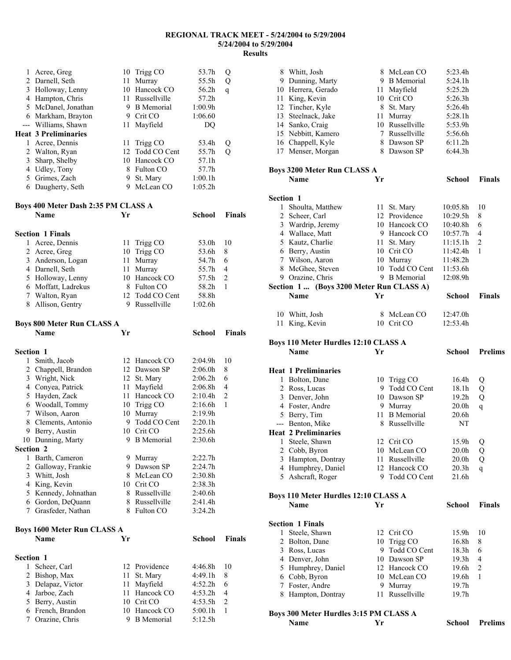| 1              | Acree, Greg                              |    | 10 Trigg CO                 | 53.7h              | Q              |
|----------------|------------------------------------------|----|-----------------------------|--------------------|----------------|
|                | 2 Darnell, Seth                          |    | 11 Murray                   | 55.5h              | Q              |
|                | 3 Holloway, Lenny                        |    | 10 Hancock CO               | 56.2h              | q              |
|                | 4 Hampton, Chris                         |    | 11 Russellville             | 57.2h              |                |
|                | 5 McDanel, Jonathan                      |    | 9 B Memorial                | 1:00.9h            |                |
|                | 6 Markham, Brayton                       |    | 9 Crit CO                   | 1:06.60            |                |
|                | --- Williams, Shawn                      | 11 | Mayfield                    | DQ                 |                |
|                | <b>Heat 3 Preliminaries</b>              |    |                             |                    |                |
|                | 1 Acree, Dennis                          | 11 | Trigg CO                    | 53.4h              | Q              |
|                | 2 Walton, Ryan                           |    | 12 Todd CO Cent             | 55.7h              | Q              |
|                | 3 Sharp, Shelby                          |    | 10 Hancock CO               | 57.1h              |                |
|                | 4 Udley, Tony                            |    | 8 Fulton CO                 | 57.7h              |                |
|                | 5 Grimes, Zach                           |    | 9 St. Mary                  | 1:00.1h            |                |
|                | 6 Daugherty, Seth                        |    | 9 McLean CO                 | 1:05.2h            |                |
|                |                                          |    |                             |                    |                |
|                | Boys 400 Meter Dash 2:35 PM CLASS A      |    |                             |                    |                |
|                | <b>Name</b>                              | Yr |                             | School             | <b>Finals</b>  |
|                | <b>Section 1 Finals</b>                  |    |                             |                    |                |
| 1              | Acree, Dennis                            | 11 | Trigg CO                    | 53.0h              | 10             |
|                | 2 Acree, Greg                            |    | 10 Trigg CO                 | 53.6h              | 8              |
|                | 3 Anderson, Logan                        | 11 | Murray                      | 54.7h              | 6              |
|                | 4 Darnell, Seth                          | 11 | Murray                      | 55.7h              | 4              |
|                | 5 Holloway, Lenny                        |    | 10 Hancock CO               | 57.5h              | 2              |
|                | 6 Moffatt, Ladrekus                      |    | 8 Fulton CO                 | 58.2h              | 1              |
|                | 7 Walton, Ryan                           |    | 12 Todd CO Cent             | 58.8h              |                |
|                | 8 Allison, Gentry                        |    | 9 Russellville              | 1:02.6h            |                |
|                |                                          |    |                             |                    |                |
|                | <b>Boys 800 Meter Run CLASS A</b>        |    |                             |                    |                |
|                | <b>Name</b>                              | Yr |                             | <b>School</b>      | <b>Finals</b>  |
|                |                                          |    |                             |                    |                |
|                |                                          |    |                             |                    |                |
| Section 1      |                                          |    |                             |                    |                |
| 1              | Smith, Jacob                             |    | 12 Hancock CO               | 2:04.9h            | 10             |
|                | 2 Chappell, Brandon                      |    | 12 Dawson SP                | 2:06.0h            | 8              |
|                | 3 Wright, Nick                           |    | 12 St. Mary                 | 2:06.2h            | 6              |
|                | 4 Conyea, Patrick                        | 11 | Mayfield                    | 2:06.8h            | 4              |
|                | 5 Hayden, Zack                           |    | 11 Hancock CO               | 2:10.4h            | $\overline{c}$ |
|                | 6 Woodall, Tommy                         |    | 10 Trigg CO                 | 2:16.6h            | 1              |
|                | 7 Wilson, Aaron                          | 10 | Murray                      | 2:19.9h            |                |
|                | 8 Clements, Antonio                      |    | 9 Todd CO Cent              | 2:20.1h            |                |
|                | 9 Berry, Austin                          |    | 10 Crit CO                  | 2:25.6h            |                |
|                | 10 Dunning, Marty                        |    | 9 B Memorial                | 2:30.6h            |                |
| Section 2<br>1 |                                          |    |                             |                    |                |
|                | Barth, Cameron                           |    | 9 Murray                    | 2:22.7h            |                |
|                | 2 Galloway, Frankie                      |    | 9 Dawson SP<br>8 McLean CO  | 2:24.7h<br>2:30.8h |                |
|                | 3 Whitt, Josh                            |    | 10 Crit CO                  |                    |                |
|                | 4 King, Kevin                            |    | 8 Russellville              | 2:38.3h            |                |
|                | 5 Kennedy, Johnathan                     |    | 8 Russellville              | 2:40.6h            |                |
|                | 6 Gordon, DeQuann<br>7 Grasfeder, Nathan |    | 8 Fulton CO                 | 2:41.4h<br>3:24.2h |                |
|                |                                          |    |                             |                    |                |
|                | <b>Boys 1600 Meter Run CLASS A</b>       |    |                             |                    |                |
|                | <b>Name</b>                              | Yr |                             | School             | <b>Finals</b>  |
|                |                                          |    |                             |                    |                |
| Section 1<br>1 |                                          |    |                             |                    |                |
|                | Scheer, Carl                             | 11 | 12 Providence               | 4:46.8h            | 10<br>8        |
|                | 2 Bishop, Max                            |    | St. Mary                    | 4:49.1h            |                |
|                | 3 Delapaz, Victor                        | 11 | Mayfield                    | 4:52.2h            | 6<br>4         |
|                | 4 Jarboe, Zach                           |    | 11 Hancock CO               | 4:53.2h            | $\overline{c}$ |
|                | 5 Berry, Austin<br>6 French, Brandon     |    | 10 Crit CO<br>10 Hancock CO | 4:53.5h<br>5:00.1h | 1              |

|                  | 8 Whitt, Josh                                              |     | 8 McLean CO                   | 5:23.4h                    |                     |
|------------------|------------------------------------------------------------|-----|-------------------------------|----------------------------|---------------------|
|                  | 9 Dunning, Marty                                           |     | 9 B Memorial                  | 5:24.1h                    |                     |
|                  | 10 Herrera, Gerado                                         |     | 11 Mayfield                   | 5:25.2h                    |                     |
|                  | 11 King, Kevin                                             |     | 10 Crit CO                    | 5:26.3h                    |                     |
|                  | 12 Tincher, Kyle                                           |     | 8 St. Mary                    | 5:26.4h                    |                     |
|                  | 13 Steelnack, Jake                                         |     | 11 Murray                     | 5:28.1h                    |                     |
|                  | 14 Sanko, Craig                                            |     | 10 Russellville               | 5:53.9h                    |                     |
|                  | 15 Nebbitt, Kamero                                         |     | 7 Russellville                | 5:56.6h                    |                     |
|                  | 16 Chappell, Kyle                                          |     | 8 Dawson SP                   | 6:11.2h                    |                     |
|                  | 17 Menser, Morgan                                          |     | 8 Dawson SP                   | 6:44.3h                    |                     |
|                  | <b>Boys 3200 Meter Run CLASS A</b>                         |     |                               |                            |                     |
|                  | <b>Name</b>                                                | Yr  |                               | School                     | <b>Finals</b>       |
| <b>Section 1</b> |                                                            |     |                               |                            |                     |
| $\mathbf{1}$     | Shoulta, Matthew                                           |     | 11 St. Mary                   | 10:05.8h                   | 10                  |
|                  | 2 Scheer, Carl                                             |     | 12 Providence                 | 10:29.5h                   | 8                   |
|                  | 3 Wardrip, Jeremy                                          |     | 10 Hancock CO                 | 10:40.8h                   | 6                   |
|                  | 4 Wallace, Matt                                            |     | 9 Hancock CO                  | 10:57.7h                   | 4                   |
|                  | 5 Kautz, Charlie                                           |     | 11 St. Mary                   | 11:15.1h                   | $\overline{c}$      |
|                  | 6 Berry, Austin                                            |     | 10 Crit CO                    | 11:42.4h                   | 1                   |
|                  | 7 Wilson, Aaron                                            |     | 10 Murray                     | 11:48.2h                   |                     |
|                  | 8 McGhee, Steven                                           |     | 10 Todd CO Cent               | 11:53.6h                   |                     |
|                  | 9 Orazine, Chris                                           |     | 9 B Memorial                  | 12:08.9h                   |                     |
|                  | Section 1  (Boys 3200 Meter Run CLASS A)                   |     |                               |                            |                     |
|                  | <b>Name</b>                                                | Yr  |                               | School                     | <b>Finals</b>       |
|                  | 10 Whitt, Josh                                             |     | 8 McLean CO                   | 12:47.0h                   |                     |
|                  | 11 King, Kevin                                             |     | 10 Crit CO                    | 12:53.4h                   |                     |
|                  |                                                            |     |                               |                            |                     |
|                  |                                                            |     |                               |                            |                     |
|                  | <b>Boys 110 Meter Hurdles 12:10 CLASS A</b>                |     |                               |                            |                     |
|                  | <b>Name</b>                                                | Yr  |                               | School                     | <b>Prelims</b>      |
|                  |                                                            |     |                               |                            |                     |
|                  | <b>Heat 1 Preliminaries</b>                                |     |                               |                            |                     |
| 1                | Bolton, Dane                                               |     | 10 Trigg CO                   | 16.4h                      | Q                   |
|                  | 2 Ross, Lucas                                              |     | 9 Todd CO Cent                | 18.1h<br>19.2 <sub>h</sub> | Q                   |
|                  | 3 Denver, John                                             |     | 10 Dawson SP                  | 20.0 <sub>h</sub>          | Q                   |
|                  | 4 Foster, Andre                                            |     | 9 Murray<br>11 B Memorial     | 20.6 <sub>h</sub>          | q                   |
|                  | 5 Berry, Tim<br>--- Benton, Mike                           |     | 8 Russellville                | NΤ                         |                     |
|                  | <b>Heat 2 Preliminaries</b>                                |     |                               |                            |                     |
| 1                | Steele, Shawn                                              |     | 12 Crit CO                    | 15.9h                      |                     |
| $\overline{2}$   | Cobb, Byron                                                |     | 10 McLean CO                  | 20.0 <sub>h</sub>          | Q<br>Q              |
| 3                | Hampton, Dontray                                           |     | 11 Russellville               | 20.0 <sub>h</sub>          | Q                   |
| 4                | Humphrey, Daniel                                           |     | 12 Hancock CO                 | 20.3 <sub>h</sub>          | q                   |
| 5                | Ashcraft, Roger                                            |     | 9 Todd CO Cent                | 21.6h                      |                     |
|                  |                                                            |     |                               |                            |                     |
|                  | <b>Boys 110 Meter Hurdles 12:10 CLASS A</b><br><b>Name</b> | Yr  |                               | <b>School</b>              | <b>Finals</b>       |
|                  |                                                            |     |                               |                            |                     |
| 1                | <b>Section 1 Finals</b>                                    |     | 12 Crit CO                    | 15.9h                      | 10                  |
| 2                | Steele, Shawn                                              |     |                               | 16.8h                      |                     |
| 3                | Bolton, Dane                                               | 9.  | 10 Trigg CO                   | 18.3h                      | 8<br>6              |
|                  | Ross, Lucas                                                |     | Todd CO Cent                  |                            | 4                   |
| 5                | 4 Denver, John                                             |     | 10 Dawson SP<br>12 Hancock CO | 19.3h<br>19.6h             |                     |
|                  | Humphrey, Daniel                                           |     | 10 McLean CO                  |                            | $\overline{c}$<br>1 |
| 7                | 6 Cobb, Byron<br>Foster, Andre                             |     | 9 Murray                      | 19.6h<br>19.7h             |                     |
|                  | 8 Hampton, Dontray                                         | 11- | Russellville                  | 19.7h                      |                     |
|                  | Boys 300 Meter Hurdles 3:15 PM CLASS A                     |     |                               |                            |                     |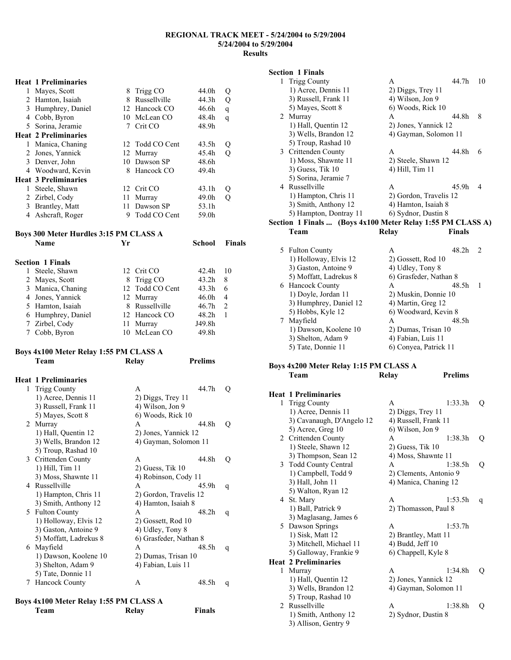#### **Heat 1 Preliminaries**

|   | Mayes, Scott<br>2 Hamton, Isaiah<br>3 Humphrey, Daniel | 8<br>8 | Trigg CO<br>Russellville<br>12 Hancock CO | 44.0h<br>44.3h<br>46.6h | Q<br>Q<br>q |
|---|--------------------------------------------------------|--------|-------------------------------------------|-------------------------|-------------|
| 4 | Cobb, Byron<br>5 Sorina, Jeramie                       |        | 10 McLean CO<br>Crit CO                   | 48.4h<br>48.9h          | q           |
|   | <b>Heat 2 Preliminaries</b>                            |        |                                           |                         |             |
| L | Manica, Chaning                                        |        | 12 Todd CO Cent                           | 43.5h                   | Ő           |
| 2 | Jones, Yannick                                         |        | 12 Murray                                 | 45.4h                   |             |
|   | 3 Denver, John                                         | 10     | Dawson SP                                 | 48.6h                   |             |
|   | 4 Woodward, Kevin                                      | 8      | Hancock CO                                | 49.4h                   |             |
|   | <b>Heat 3 Preliminaries</b>                            |        |                                           |                         |             |
| 1 | Steele, Shawn                                          |        | 12 Crit CO                                | 43.1 <sub>h</sub>       |             |
|   | 2 Zirbel, Cody                                         | 11     | Murray                                    | 49.0 <sub>h</sub>       |             |
| 3 | Brantley, Matt                                         | 11     | Dawson SP                                 | 53.1h                   |             |
|   | Ashcraft, Roger                                        | 9      | Todd CO Cent                              | 59.0h                   |             |

## **Boys 300 Meter Hurdles 3:15 PM CLASS A**

| <b>Name</b>             | Үr |                 | School            | <b>Finals</b>  |
|-------------------------|----|-----------------|-------------------|----------------|
| <b>Section 1 Finals</b> |    |                 |                   |                |
| Steele, Shawn           |    | 12 Crit CO      | 42.4h             | 10             |
| 2 Mayes, Scott          |    | 8 Trigg CO      | 43.2 <sub>h</sub> | 8              |
| 3 Manica, Chaning       |    | 12 Todd CO Cent | 43.3h             | 6              |
| 4 Jones, Yannick        |    | 12 Murray       | 46.0 <sub>h</sub> | 4              |
| 5 Hamton, Isaiah        | 8  | Russellville    | 46.7 <sub>h</sub> | $\overline{2}$ |
| 6 Humphrey, Daniel      |    | 12 Hancock CO   | 48.2h             |                |
| 7 Zirbel, Cody          |    | 11 Murray       | J49.8h            |                |
| Cobb, Byron             |    | 10 McLean CO    | 49.8h             |                |

## **Boys 4x100 Meter Relay 1:55 PM CLASS A**

|    | Team                        | Relay                  | <b>Prelims</b>        |   |
|----|-----------------------------|------------------------|-----------------------|---|
|    | <b>Heat 1 Preliminaries</b> |                        |                       |   |
| 1  | <b>Trigg County</b>         | A                      | 44.7h                 | Q |
|    | 1) Acree, Dennis 11         | 2) Diggs, Trey 11      |                       |   |
|    | 3) Russell, Frank 11        | 4) Wilson, Jon 9       |                       |   |
|    | 5) Mayes, Scott 8           | 6) Woods, Rick 10      |                       |   |
| 2  | Murray                      | A                      | 44.8h                 | Q |
|    | 1) Hall, Quentin 12         | 2) Jones, Yannick 12   |                       |   |
|    | 3) Wells, Brandon 12        |                        | 4) Gayman, Solomon 11 |   |
|    | 5) Troup, Rashad 10         |                        |                       |   |
| 3  | Crittenden County           | A                      | 44.8h                 | Q |
|    | 1) Hill, Tim 11             | $2)$ Guess, Tik 10     |                       |   |
|    | 3) Moss, Shawnte 11         | 4) Robinson, Cody 11   |                       |   |
| 4  | Russellville                | A                      | 45.9h                 | q |
|    | 1) Hampton, Chris 11        | 2) Gordon, Travelis 12 |                       |   |
|    | 3) Smith, Anthony 12        | 4) Hamton, Isaiah 8    |                       |   |
| 5. | <b>Fulton County</b>        | A                      | 48.2h                 | q |
|    | 1) Holloway, Elvis 12       | 2) Gossett, Rod 10     |                       |   |
|    | 3) Gaston, Antoine 9        | 4) Udley, Tony 8       |                       |   |
|    | 5) Moffatt, Ladrekus 8      | 6) Grasfeder, Nathan 8 |                       |   |
| 6  | Mayfield                    | A                      | 48.5h                 | q |
|    | 1) Dawson, Koolene 10       | 2) Dumas, Trisan 10    |                       |   |
|    | 3) Shelton, Adam 9          | 4) Fabian, Luis 11     |                       |   |
|    | 5) Tate, Donnie 11          |                        |                       |   |
| 7  | <b>Hancock County</b>       | A                      | 48.5h                 | q |
|    |                             |                        |                       |   |

#### **Boys 4x100 Meter Relay 1:55 PM CLASS A Team Relay Finals**

#### **Section 1 Finals**

| <b>Trigg County</b>                                        | A                      | 44.7h         | 10             |
|------------------------------------------------------------|------------------------|---------------|----------------|
| 1) Acree, Dennis 11                                        | $2)$ Diggs, Trey 11    |               |                |
| 3) Russell, Frank 11                                       | 4) Wilson, Jon 9       |               |                |
| 5) Mayes, Scott 8                                          | 6) Woods, Rick 10      |               |                |
| 2 Murray                                                   | A                      | 44.8h         | 8              |
| 1) Hall, Quentin 12                                        | 2) Jones, Yannick 12   |               |                |
| 3) Wells, Brandon 12                                       | 4) Gayman, Solomon 11  |               |                |
| 5) Troup, Rashad 10                                        |                        |               |                |
| 3 Crittenden County                                        | A                      | 44.8h         | 6              |
| 1) Moss, Shawnte 11                                        | 2) Steele, Shawn 12    |               |                |
| $3)$ Guess, Tik 10                                         | 4) Hill, Tim 11        |               |                |
| 5) Sorina, Jeramie 7                                       |                        |               |                |
| 4 Russellville                                             | A                      | 45.9h         | $\overline{4}$ |
| 1) Hampton, Chris 11                                       | 2) Gordon, Travelis 12 |               |                |
| 3) Smith, Anthony 12                                       | 4) Hamton, Isaiah 8    |               |                |
| 5) Hampton, Dontray 11                                     | 6) Sydnor, Dustin 8    |               |                |
| Section 1 Finals  (Boys 4x100 Meter Relay 1:55 PM CLASS A) |                        |               |                |
| Team                                                       | Relay                  | <b>Finals</b> |                |
|                                                            |                        |               |                |

| 5 Fulton County        |                        | 48.2h |  |
|------------------------|------------------------|-------|--|
| 1) Holloway, Elvis 12  | 2) Gossett, Rod 10     |       |  |
| 3) Gaston, Antoine 9   | 4) Udley, Tony 8       |       |  |
| 5) Moffatt, Ladrekus 8 | 6) Grasfeder, Nathan 8 |       |  |
| 6 Hancock County       | A                      | 48.5h |  |
| 1) Doyle, Jordan 11    | 2) Muskin, Donnie 10   |       |  |
| 3) Humphrey, Daniel 12 | 4) Martin, Greg 12     |       |  |
| 5) Hobbs, Kyle 12      | 6) Woodward, Kevin 8   |       |  |
| Mayfield               | A                      | 48.5h |  |
| 1) Dawson, Koolene 10  | 2) Dumas, Trisan 10    |       |  |
| 3) Shelton, Adam 9     | 4) Fabian, Luis 11     |       |  |
| 5) Tate, Donnie 11     | 6) Conyea, Patrick 11  |       |  |

#### **Boys 4x200 Meter Relay 1:15 PM CLASS A Team Relay Prelims**

# **Heat 1 Preliminaries**

| 1              | <b>Trigg County</b>         | A                      | 1:33.3h | Q |
|----------------|-----------------------------|------------------------|---------|---|
|                | 1) Acree, Dennis 11         | 2) Diggs, Trey 11      |         |   |
|                | 3) Cavanaugh, D'Angelo 12   | 4) Russell, Frank 11   |         |   |
|                | 5) Acree, Greg 10           | 6) Wilson, Jon 9       |         |   |
|                | 2 Crittenden County         | A                      | 1:38.3h | Q |
|                | 1) Steele, Shawn 12         | $2)$ Guess, Tik 10     |         |   |
|                | 3) Thompson, Sean 12        | 4) Moss, Shawnte 11    |         |   |
|                | 3 Todd County Central       | A                      | 1:38.5h | Q |
|                | 1) Campbell, Todd 9         | 2) Clements, Antonio 9 |         |   |
|                | 3) Hall, John 11            | 4) Manica, Chaning 12  |         |   |
|                | 5) Walton, Ryan 12          |                        |         |   |
|                | 4 St. Mary                  | A                      | 1:53.5h | q |
|                | 1) Ball, Patrick 9          | 2) Thomasson, Paul 8   |         |   |
|                | 3) Maglasang, James 6       |                        |         |   |
|                | 5 Dawson Springs            | A                      | 1:53.7h |   |
|                | 1) Sisk, Matt 12            | 2) Brantley, Matt 11   |         |   |
|                | 3) Mitchell, Michael 11     | $(4)$ Budd, Jeff $10$  |         |   |
|                | 5) Galloway, Frankie 9      | 6) Chappell, Kyle 8    |         |   |
|                | <b>Heat 2 Preliminaries</b> |                        |         |   |
| 1              | Murray                      | A                      | 1:34.8h | Q |
|                | 1) Hall, Quentin 12         | 2) Jones, Yannick 12   |         |   |
|                | 3) Wells, Brandon 12        | 4) Gayman, Solomon 11  |         |   |
|                | 5) Troup, Rashad 10         |                        |         |   |
| $\mathfrak{D}$ | Russellville                | A                      | 1:38.8h | Q |
|                | 1) Smith, Anthony 12        | 2) Sydnor, Dustin 8    |         |   |
|                | 3) Allison, Gentry 9        |                        |         |   |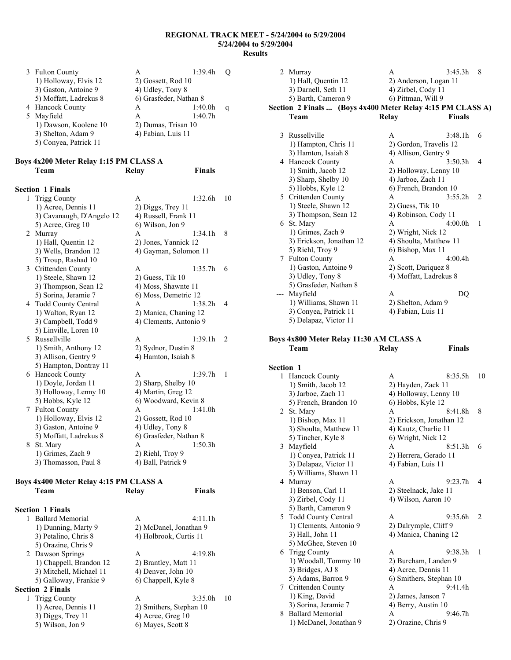| 3 Fulton County        | А                | 1:39.4h |                                                                                           |
|------------------------|------------------|---------|-------------------------------------------------------------------------------------------|
| 1) Holloway, Elvis 12  |                  |         |                                                                                           |
| 3) Gaston, Antoine 9   | 4) Udley, Tony 8 |         |                                                                                           |
| 5) Moffatt, Ladrekus 8 |                  |         |                                                                                           |
| 4 Hancock County       | А                | 1:40.0h | a                                                                                         |
| Mayfield               | А                | 1:40.7h |                                                                                           |
| 1) Dawson, Koolene 10  |                  |         |                                                                                           |
| 3) Shelton, Adam 9     |                  |         |                                                                                           |
| 5) Conyea, Patrick 11  |                  |         |                                                                                           |
|                        |                  |         | 2) Gossett, Rod 10<br>6) Grasfeder, Nathan 8<br>2) Dumas, Trisan 10<br>4) Fabian, Luis 11 |

#### **Boys 4x200 Meter Relay 1:15 PM CLASS A Team Relay Finals**

#### **Section 1 Finals**

| 1  | <b>Trigg County</b>       | A                      | 1:32.6h | 10             |
|----|---------------------------|------------------------|---------|----------------|
|    | 1) Acree, Dennis 11       | 2) Diggs, Trey 11      |         |                |
|    | 3) Cavanaugh, D'Angelo 12 | 4) Russell, Frank 11   |         |                |
|    | 5) Acree, Greg 10         | 6) Wilson, Jon 9       |         |                |
| 2  | Murray                    | A                      | 1:34.1h | 8              |
|    | 1) Hall, Quentin 12       | 2) Jones, Yannick 12   |         |                |
|    | 3) Wells, Brandon 12      | 4) Gayman, Solomon 11  |         |                |
|    | 5) Troup, Rashad 10       |                        |         |                |
| 3  | Crittenden County         | A                      | 1:35.7h | 6              |
|    | 1) Steele, Shawn 12       | $2)$ Guess, Tik 10     |         |                |
|    | 3) Thompson, Sean 12      | 4) Moss, Shawnte 11    |         |                |
|    | 5) Sorina, Jeramie 7      | 6) Moss, Demetric 12   |         |                |
|    | 4 Todd County Central     | A                      | 1:38.2h | $\overline{4}$ |
|    | 1) Walton, Ryan 12        | 2) Manica, Chaning 12  |         |                |
|    | 3) Campbell, Todd 9       | 4) Clements, Antonio 9 |         |                |
|    | 5) Linville, Loren 10     |                        |         |                |
| 5. | Russellville              | A                      | 1:39.1h | 2              |
|    | 1) Smith, Anthony 12      | 2) Sydnor, Dustin 8    |         |                |
|    | 3) Allison, Gentry 9      | 4) Hamton, Isaiah 8    |         |                |
|    | 5) Hampton, Dontray 11    |                        |         |                |
| 6  | <b>Hancock County</b>     | A                      | 1:39.7h | 1              |
|    | 1) Doyle, Jordan 11       | 2) Sharp, Shelby 10    |         |                |
|    | 3) Holloway, Lenny 10     | 4) Martin, Greg 12     |         |                |
|    | 5) Hobbs, Kyle 12         | 6) Woodward, Kevin 8   |         |                |
| 7  | <b>Fulton County</b>      | A                      | 1:41.0h |                |
|    | 1) Holloway, Elvis 12     | 2) Gossett, Rod 10     |         |                |
|    | 3) Gaston, Antoine 9      | 4) Udley, Tony 8       |         |                |
|    | 5) Moffatt, Ladrekus 8    | 6) Grasfeder, Nathan 8 |         |                |
| 8  | St. Mary                  | A                      | 1:50.3h |                |
|    | 1) Grimes, Zach 9         | 2) Riehl, Troy 9       |         |                |
|    | 3) Thomasson, Paul 8      | 4) Ball, Patrick 9     |         |                |
|    |                           |                        |         |                |

#### **Boys 4x400 Meter Relay 4:15 PM CLASS A Team Relay Finals**

| <b>Section 1 Finals</b> |                         |    |
|-------------------------|-------------------------|----|
| <b>Ballard Memorial</b> | 4:11.1h<br>A            |    |
| 1) Dunning, Marty 9     | 2) McDanel, Jonathan 9  |    |
| 3) Petalino, Chris 8    | 4) Holbrook, Curtis 11  |    |
| 5) Orazine, Chris 9     |                         |    |
| 2 Dawson Springs        | 4:19.8h<br>A            |    |
| 1) Chappell, Brandon 12 | 2) Brantley, Matt 11    |    |
| 3) Mitchell, Michael 11 | 4) Denver, John 10      |    |
| 5) Galloway, Frankie 9  | 6) Chappell, Kyle 8     |    |
| <b>Section 2 Finals</b> |                         |    |
| 1 Trigg County          | 3:35.0h<br>A            | 10 |
| 1) Acree, Dennis 11     | 2) Smithers, Stephan 10 |    |
| 3) Diggs, Trey 11       | 4) Acree, Greg 10       |    |
| 5) Wilson, Jon 9        | 6) Mayes, Scott 8       |    |
|                         |                         |    |

| 2   | Murray                                                     | A                     | 3:45.3h                | 8              |  |
|-----|------------------------------------------------------------|-----------------------|------------------------|----------------|--|
|     | 1) Hall, Quentin 12                                        | 2) Anderson, Logan 11 |                        |                |  |
|     | 3) Darnell, Seth 11                                        | 4) Zirbel, Cody 11    |                        |                |  |
|     | 5) Barth, Cameron 9                                        | 6) Pittman, Will 9    |                        |                |  |
|     | Section 2 Finals  (Boys 4x400 Meter Relay 4:15 PM CLASS A) |                       |                        |                |  |
|     | Team                                                       | Relay                 | <b>Finals</b>          |                |  |
|     |                                                            |                       |                        |                |  |
| 3   | Russellville                                               | A                     | 3:48.1h                | 6              |  |
|     | 1) Hampton, Chris 11                                       |                       | 2) Gordon, Travelis 12 |                |  |
|     | 3) Hamton, Isaiah 8                                        | 4) Allison, Gentry 9  |                        |                |  |
| 4   | <b>Hancock County</b>                                      | A                     | 3:50.3h                | $\overline{4}$ |  |
|     | 1) Smith, Jacob 12                                         |                       | 2) Holloway, Lenny 10  |                |  |
|     | 3) Sharp, Shelby 10                                        |                       | 4) Jarboe, Zach 11     |                |  |
|     | 5) Hobbs, Kyle 12                                          |                       | 6) French, Brandon 10  |                |  |
|     | 5 Crittenden County                                        | A                     | 3:55.2h                | 2              |  |
|     | 1) Steele, Shawn 12                                        | $2)$ Guess, Tik 10    |                        |                |  |
|     | 3) Thompson, Sean 12                                       | 4) Robinson, Cody 11  |                        |                |  |
|     | 6 St. Mary                                                 | A                     | 4:00.0h                | 1              |  |
|     | 1) Grimes, Zach 9                                          |                       | 2) Wright, Nick 12     |                |  |
|     | 3) Erickson, Jonathan 12                                   |                       | 4) Shoulta, Matthew 11 |                |  |
|     | 5) Riehl, Troy 9                                           | 6) Bishop, Max 11     |                        |                |  |
| 7   | <b>Fulton County</b>                                       | A                     | 4:00.4h                |                |  |
|     | 1) Gaston, Antoine 9                                       |                       | 2) Scott, Dariquez 8   |                |  |
|     | 3) Udley, Tony 8                                           |                       | 4) Moffatt, Ladrekus 8 |                |  |
|     | 5) Grasfeder, Nathan 8                                     |                       |                        |                |  |
| --- | Mayfield                                                   | A                     | DQ                     |                |  |
|     | 1) Williams, Shawn 11                                      | 2) Shelton, Adam 9    |                        |                |  |
|     | 3) Conyea, Patrick 11                                      |                       | 4) Fabian, Luis 11     |                |  |
|     | 5) Delapaz, Victor 11                                      |                       |                        |                |  |
|     |                                                            |                       |                        |                |  |

#### **Boys 4x800 Meter Relay 11:30 AM CLASS A Team Relay Finals**

| <b>Section 1</b> |                        |                          |                           |
|------------------|------------------------|--------------------------|---------------------------|
|                  | 1 Hancock County       | A                        | 10<br>8:35.5h             |
|                  | 1) Smith, Jacob 12     | 2) Hayden, Zack 11       |                           |
|                  | 3) Jarboe, Zach 11     | 4) Holloway, Lenny 10    |                           |
|                  | 5) French, Brandon 10  | 6) Hobbs, Kyle 12        |                           |
|                  | 2 St. Mary             | A                        | $8.41$ $8h$<br>8          |
|                  | 1) Bishop, Max 11      | 2) Erickson, Jonathan 12 |                           |
|                  | 3) Shoulta, Matthew 11 | 4) Kautz, Charlie 11     |                           |
|                  | 5) Tincher, Kyle 8     | 6) Wright, Nick 12       |                           |
|                  | 3 Mayfield             | A                        | 8:51.3h<br>6              |
|                  | 1) Conyea, Patrick 11  | 2) Herrera, Gerado 11    |                           |
|                  | 3) Delapaz, Victor 11  | 4) Fabian, Luis 11       |                           |
|                  | 5) Williams, Shawn 11  |                          |                           |
|                  | 4 Murray               | A                        | 9:23.7h<br>$\overline{4}$ |
|                  | 1) Benson, Carl 11     | 2) Steelnack, Jake 11    |                           |
|                  | 3) Zirbel, Cody 11     | 4) Wilson, Aaron 10      |                           |
|                  | 5) Barth, Cameron 9    |                          |                           |
|                  | 5 Todd County Central  | A                        | 9:35.6h<br>$\mathfrak{D}$ |
|                  | 1) Clements, Antonio 9 | 2) Dalrymple, Cliff 9    |                           |
|                  | 3) Hall, John 11       | 4) Manica, Chaning 12    |                           |
|                  | 5) McGhee, Steven 10   |                          |                           |
|                  | 6 Trigg County         | $\mathsf{A}$             | 9.383h<br>1               |
|                  | 1) Woodall, Tommy 10   | 2) Burcham, Landen 9     |                           |
|                  | 3) Bridges, AJ 8       | 4) Acree, Dennis 11      |                           |
|                  | 5) Adams, Barron 9     | 6) Smithers, Stephan 10  |                           |
|                  | 7 Crittenden County    | A                        | 9:41.4h                   |
|                  | 1) King, David         | 2) James, Janson 7       |                           |
|                  | 3) Sorina, Jeramie 7   | 4) Berry, Austin 10      |                           |
|                  | 8 Ballard Memorial     | A                        | 9:46.7h                   |
|                  | 1) McDanel, Jonathan 9 | 2) Orazine, Chris 9      |                           |
|                  |                        |                          |                           |